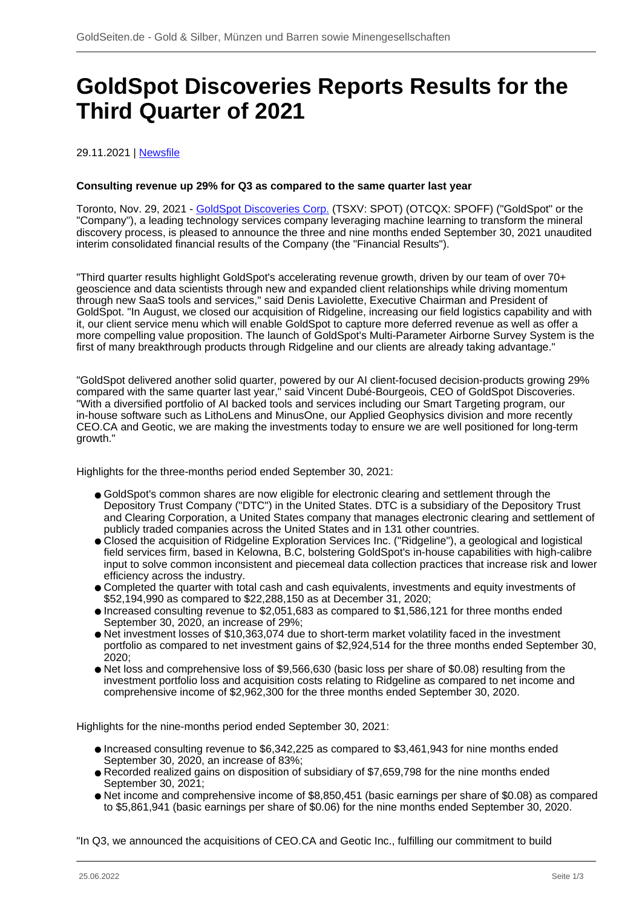## **GoldSpot Discoveries Reports Results for the Third Quarter of 2021**

29.11.2021 | [Newsfile](/profil/273--Newsfile)

## **Consulting revenue up 29% for Q3 as compared to the same quarter last year**

Toronto, Nov. 29, 2021 - [GoldSpot Discoveries Corp.](/minen/4073--GoldSpot-Discoveries-Corp) (TSXV: SPOT) (OTCQX: SPOFF) ("GoldSpot" or the "Company"), a leading technology services company leveraging machine learning to transform the mineral discovery process, is pleased to announce the three and nine months ended September 30, 2021 unaudited interim consolidated financial results of the Company (the "Financial Results").

"Third quarter results highlight GoldSpot's accelerating revenue growth, driven by our team of over 70+ geoscience and data scientists through new and expanded client relationships while driving momentum through new SaaS tools and services," said Denis Laviolette, Executive Chairman and President of GoldSpot. "In August, we closed our acquisition of Ridgeline, increasing our field logistics capability and with it, our client service menu which will enable GoldSpot to capture more deferred revenue as well as offer a more compelling value proposition. The launch of GoldSpot's Multi-Parameter Airborne Survey System is the first of many breakthrough products through Ridgeline and our clients are already taking advantage."

"GoldSpot delivered another solid quarter, powered by our AI client-focused decision-products growing 29% compared with the same quarter last year," said Vincent Dubé-Bourgeois, CEO of GoldSpot Discoveries. "With a diversified portfolio of AI backed tools and services including our Smart Targeting program, our in-house software such as LithoLens and MinusOne, our Applied Geophysics division and more recently CEO.CA and Geotic, we are making the investments today to ensure we are well positioned for long-term growth."

Highlights for the three-months period ended September 30, 2021:

- GoldSpot's common shares are now eligible for electronic clearing and settlement through the Depository Trust Company ("DTC") in the United States. DTC is a subsidiary of the Depository Trust and Clearing Corporation, a United States company that manages electronic clearing and settlement of publicly traded companies across the United States and in 131 other countries.
- Closed the acquisition of Ridgeline Exploration Services Inc. ("Ridgeline"), a geological and logistical field services firm, based in Kelowna, B.C, bolstering GoldSpot's in-house capabilities with high-calibre input to solve common inconsistent and piecemeal data collection practices that increase risk and lower efficiency across the industry.
- Completed the quarter with total cash and cash equivalents, investments and equity investments of \$52,194,990 as compared to \$22,288,150 as at December 31, 2020;
- Increased consulting revenue to \$2,051,683 as compared to \$1,586,121 for three months ended September 30, 2020, an increase of 29%:
- Net investment losses of \$10,363,074 due to short-term market volatility faced in the investment portfolio as compared to net investment gains of \$2,924,514 for the three months ended September 30, 2020;
- Net loss and comprehensive loss of \$9,566,630 (basic loss per share of \$0.08) resulting from the investment portfolio loss and acquisition costs relating to Ridgeline as compared to net income and comprehensive income of \$2,962,300 for the three months ended September 30, 2020.

Highlights for the nine-months period ended September 30, 2021:

- Increased consulting revenue to \$6,342,225 as compared to \$3,461,943 for nine months ended September 30, 2020, an increase of 83%;
- Recorded realized gains on disposition of subsidiary of \$7,659,798 for the nine months ended September 30, 2021;
- Net income and comprehensive income of \$8,850,451 (basic earnings per share of \$0.08) as compared to \$5,861,941 (basic earnings per share of \$0.06) for the nine months ended September 30, 2020.

"In Q3, we announced the acquisitions of CEO.CA and Geotic Inc., fulfilling our commitment to build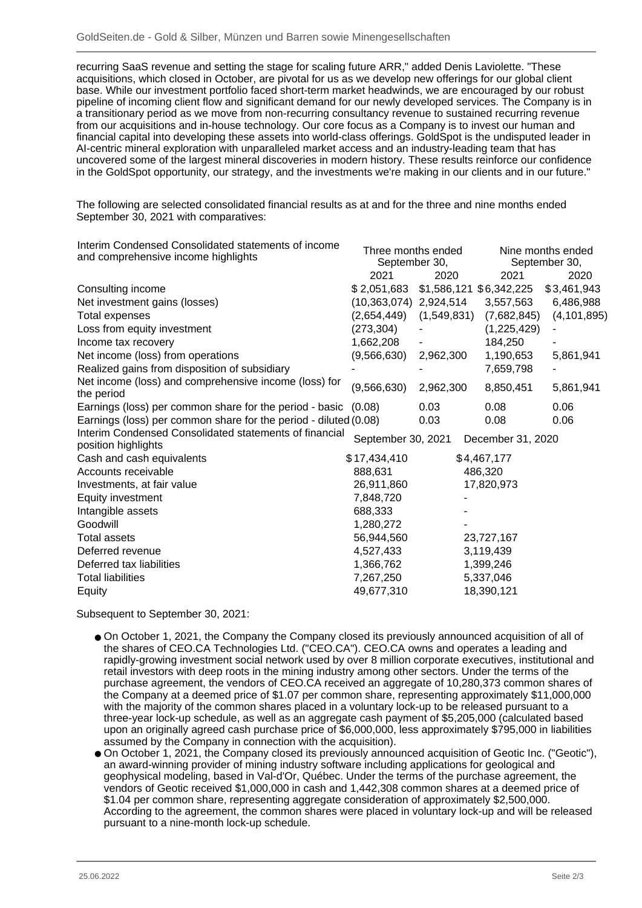recurring SaaS revenue and setting the stage for scaling future ARR," added Denis Laviolette. "These acquisitions, which closed in October, are pivotal for us as we develop new offerings for our global client base. While our investment portfolio faced short-term market headwinds, we are encouraged by our robust pipeline of incoming client flow and significant demand for our newly developed services. The Company is in a transitionary period as we move from non-recurring consultancy revenue to sustained recurring revenue from our acquisitions and in-house technology. Our core focus as a Company is to invest our human and financial capital into developing these assets into world-class offerings. GoldSpot is the undisputed leader in AI-centric mineral exploration with unparalleled market access and an industry-leading team that has uncovered some of the largest mineral discoveries in modern history. These results reinforce our confidence in the GoldSpot opportunity, our strategy, and the investments we're making in our clients and in our future."

The following are selected consolidated financial results as at and for the three and nine months ended September 30, 2021 with comparatives:

| Interim Condensed Consolidated statements of income<br>and comprehensive income highlights | Three months ended<br>September 30, |             | Nine months ended<br>September 30, |               |
|--------------------------------------------------------------------------------------------|-------------------------------------|-------------|------------------------------------|---------------|
|                                                                                            | 2021                                | 2020        | 2021                               | 2020          |
| Consulting income                                                                          | \$2,051,683                         |             | \$1,586,121 \$6,342,225            | \$3,461,943   |
| Net investment gains (losses)                                                              | (10,363,074) 2,924,514              |             | 3,557,563                          | 6,486,988     |
| Total expenses                                                                             | (2,654,449)                         | (1,549,831) | (7,682,845)                        | (4, 101, 895) |
| Loss from equity investment                                                                | (273,304)                           |             | (1,225,429)                        |               |
| Income tax recovery                                                                        | 1,662,208                           |             | 184,250                            |               |
| Net income (loss) from operations                                                          | (9,566,630)                         | 2,962,300   | 1,190,653                          | 5,861,941     |
| Realized gains from disposition of subsidiary                                              |                                     |             | 7,659,798                          |               |
| Net income (loss) and comprehensive income (loss) for<br>the period                        | (9,566,630)                         | 2,962,300   | 8,850,451                          | 5,861,941     |
| Earnings (loss) per common share for the period - basic                                    | (0.08)                              | 0.03        | 0.08                               | 0.06          |
| Earnings (loss) per common share for the period - diluted (0.08)                           |                                     | 0.03        | 0.08                               | 0.06          |
| Interim Condensed Consolidated statements of financial<br>position highlights              | September 30, 2021                  |             | December 31, 2020                  |               |
| Cash and cash equivalents                                                                  | \$17,434,410                        | \$4,467,177 |                                    |               |
| Accounts receivable                                                                        | 888,631                             | 486,320     |                                    |               |
| Investments, at fair value                                                                 | 26,911,860                          | 17,820,973  |                                    |               |
| Equity investment                                                                          | 7,848,720                           |             |                                    |               |
| Intangible assets                                                                          | 688,333                             |             |                                    |               |
| Goodwill                                                                                   | 1,280,272                           |             |                                    |               |
| <b>Total assets</b>                                                                        | 56,944,560                          | 23,727,167  |                                    |               |
| Deferred revenue                                                                           | 4,527,433                           | 3,119,439   |                                    |               |
| Deferred tax liabilities                                                                   | 1,366,762                           | 1,399,246   |                                    |               |
| <b>Total liabilities</b>                                                                   | 7,267,250                           | 5,337,046   |                                    |               |
| Equity                                                                                     | 49,677,310                          |             | 18,390,121                         |               |
|                                                                                            |                                     |             |                                    |               |

Subsequent to September 30, 2021:

- On October 1, 2021, the Company the Company closed its previously announced acquisition of all of the shares of CEO.CA Technologies Ltd. ("CEO.CA"). CEO.CA owns and operates a leading and rapidly-growing investment social network used by over 8 million corporate executives, institutional and retail investors with deep roots in the mining industry among other sectors. Under the terms of the purchase agreement, the vendors of CEO.CA received an aggregate of 10,280,373 common shares of the Company at a deemed price of \$1.07 per common share, representing approximately \$11,000,000 with the majority of the common shares placed in a voluntary lock-up to be released pursuant to a three-year lock-up schedule, as well as an aggregate cash payment of \$5,205,000 (calculated based upon an originally agreed cash purchase price of \$6,000,000, less approximately \$795,000 in liabilities assumed by the Company in connection with the acquisition).
- On October 1, 2021, the Company closed its previously announced acquisition of Geotic Inc. ("Geotic"), an award-winning provider of mining industry software including applications for geological and geophysical modeling, based in Val-d'Or, Québec. Under the terms of the purchase agreement, the vendors of Geotic received \$1,000,000 in cash and 1,442,308 common shares at a deemed price of \$1.04 per common share, representing aggregate consideration of approximately \$2,500,000. According to the agreement, the common shares were placed in voluntary lock-up and will be released pursuant to a nine-month lock-up schedule.